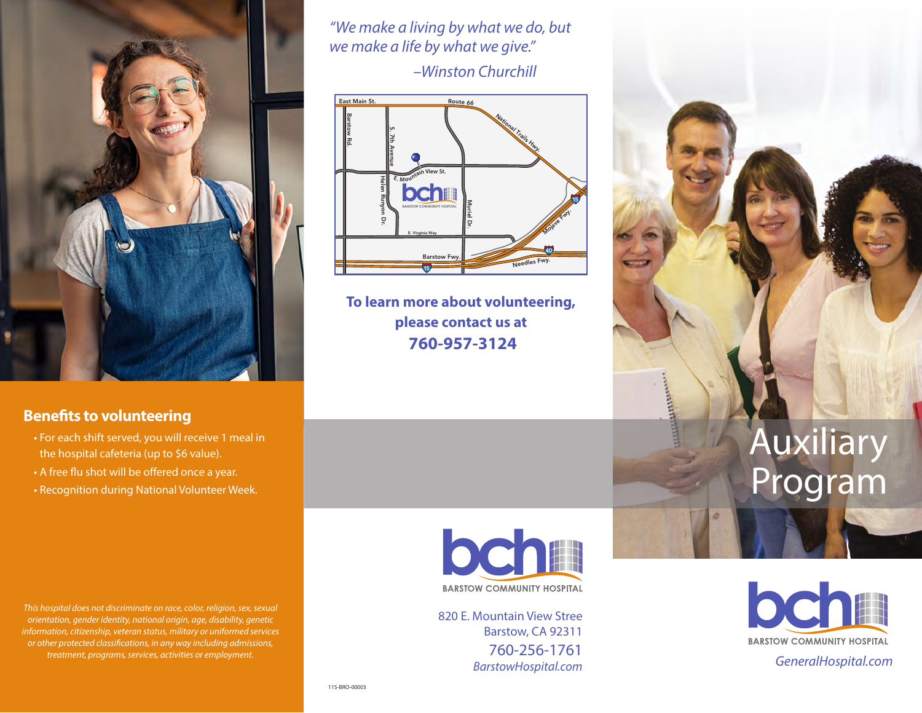

*"We make a living by what we do, but we make a life by what we give."*

 *–Winston Churchill*



**To learn more about volunteering, please contact us at 760-957-3124**

# **Benefits to volunteering**

- For each shift served, you will receive 1 meal in the hospital cafeteria (up to \$6 value).
- A free flu shot will be offered once a year.
- Recognition during National Volunteer Week.

*This hospital does not discriminate on race, color, religion, sex, sexual orientation, gender identity, national origin, age, disability, genetic information, citizenship, veteran status, military or uniformed services or other protected classifications, in any way including admissions, treatment, programs, services, activities or employment.*

bcha **BARSTOW COMMUNITY HOSPITAL** 

820 E. Mountain View Stree Barstow, CA 92311 760-256-1761 *BarstowHospital.com*



Auxiliary

Program

*GeneralHospital.com*